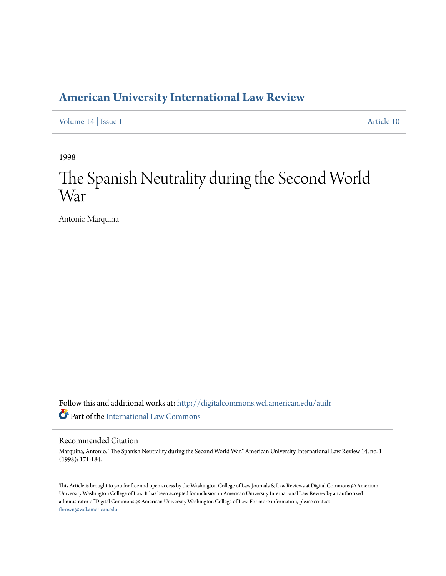## **[American University International Law Review](http://digitalcommons.wcl.american.edu/auilr?utm_source=digitalcommons.wcl.american.edu%2Fauilr%2Fvol14%2Fiss1%2F10&utm_medium=PDF&utm_campaign=PDFCoverPages)**

[Volume 14](http://digitalcommons.wcl.american.edu/auilr/vol14?utm_source=digitalcommons.wcl.american.edu%2Fauilr%2Fvol14%2Fiss1%2F10&utm_medium=PDF&utm_campaign=PDFCoverPages) | [Issue 1](http://digitalcommons.wcl.american.edu/auilr/vol14/iss1?utm_source=digitalcommons.wcl.american.edu%2Fauilr%2Fvol14%2Fiss1%2F10&utm_medium=PDF&utm_campaign=PDFCoverPages) [Article 10](http://digitalcommons.wcl.american.edu/auilr/vol14/iss1/10?utm_source=digitalcommons.wcl.american.edu%2Fauilr%2Fvol14%2Fiss1%2F10&utm_medium=PDF&utm_campaign=PDFCoverPages)

1998

# The Spanish Neutrality during the Second World War

Antonio Marquina

Follow this and additional works at: [http://digitalcommons.wcl.american.edu/auilr](http://digitalcommons.wcl.american.edu/auilr?utm_source=digitalcommons.wcl.american.edu%2Fauilr%2Fvol14%2Fiss1%2F10&utm_medium=PDF&utm_campaign=PDFCoverPages) Part of the [International Law Commons](http://network.bepress.com/hgg/discipline/609?utm_source=digitalcommons.wcl.american.edu%2Fauilr%2Fvol14%2Fiss1%2F10&utm_medium=PDF&utm_campaign=PDFCoverPages)

#### Recommended Citation

Marquina, Antonio. "The Spanish Neutrality during the Second World War." American University International Law Review 14, no. 1 (1998): 171-184.

This Article is brought to you for free and open access by the Washington College of Law Journals & Law Reviews at Digital Commons @ American University Washington College of Law. It has been accepted for inclusion in American University International Law Review by an authorized administrator of Digital Commons @ American University Washington College of Law. For more information, please contact [fbrown@wcl.american.edu](mailto:fbrown@wcl.american.edu).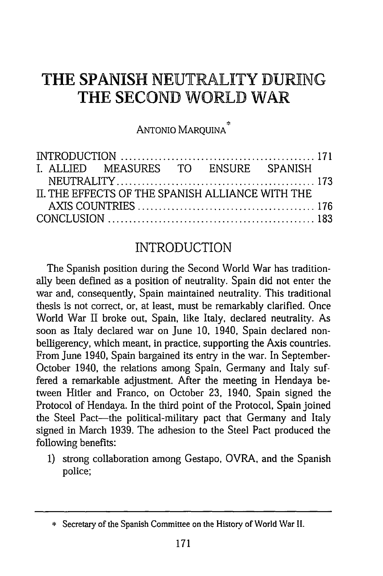## **THE SPANISH** NEUTRALITY **DURING THE SECOND WORLD** WAR

ANTONIO MARQUINA

|  | I. ALLIED MEASURES TO ENSURE SPANISH            |  |  |
|--|-------------------------------------------------|--|--|
|  |                                                 |  |  |
|  | IL THE EFFECTS OF THE SPANISH ALLIANCE WITH THE |  |  |
|  |                                                 |  |  |
|  |                                                 |  |  |

#### INTRODUCTION

The Spanish position during the Second World War has traditionally been defined as a position of neutrality. Spain did not enter the war and, consequently, Spain maintained neutrality. This traditional thesis is not correct, or, at least, must be remarkably clarified. Once World War II broke out, Spain, like Italy, declared neutrality. As soon as Italy declared war on June **10,** 1940, Spain declared nonbelligerency, which meant, in practice, supporting the Axis countries. From June 1940, Spain bargained its entry in the war. In September-October 1940, the relations among Spain, Germany and Italy suffered a remarkable adjustment. After the meeting in Hendaya between Hitler and Franco, on October **23,** 1940, Spain signed the Protocol of Hendaya. In the third point of the Protocol, Spain joined the Steel Pact-the political-military pact that Germany and Italy signed in March **1939.** The adhesion to the Steel Pact produced the following benefits:

**1)** strong collaboration among Gestapo, OVRA, and the Spanish police;

<sup>\*</sup> Secretary of the Spanish Committee on the History of World War II.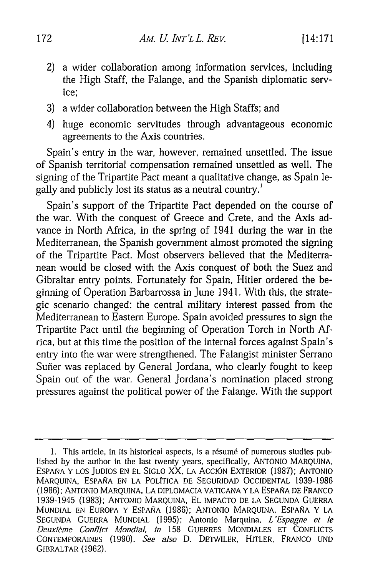- 2) a wider collaboration among information services, including the High Staff, the Falange, and the Spanish diplomatic service;
- 3) a wider collaboration between the High Staffs; and
- 4) huge economic servitudes through advantageous economic agreements to the Axis countries.

Spain's entry in the war, however, remained unsettled. The issue of Spanish territorial compensation remained unsettled as well. The signing of the Tripartite Pact meant a qualitative change, as Spain legally and publicly lost its status as a neutral country.'

Spain's support of the Tripartite Pact depended on the course of the war. With the conquest of Greece and Crete, and the Axis advance in North Africa, in the spring of 1941 during the war in the Mediterranean, the Spanish government almost promoted the signing of the Tripartite Pact. Most observers believed that the Mediterranean would be closed with the Axis conquest of both the Suez and Gibraltar entry points. Fortunately for Spain, Hitler ordered the beginning of Operation Barbarrossa in June 1941. With this, the strategic scenario changed: the central military interest passed from the Mediterranean to Eastern Europe. Spain avoided pressures to sign the Tripartite Pact until the beginning of Operation Torch in North Africa, but at this time the position of the internal forces against Spain's entry into the war were strengthened. The Falangist minister Serrano Sufier was replaced by General Jordana, who clearly fought to keep Spain out of the war. General Jordana's nomination placed strong pressures against the political power of the Falange. With the support

<sup>1.</sup> This article, in its historical aspects, is a résumé of numerous studies published by the author in the last twenty years, specifically, ANTONIO MARQUINA, ESPANA Y LOS JUDIOS EN EL SIGLO XX, LA ACcION EXTERIOR (1987); ANTONIO MARQUINA, ESPAÑA EN LA POLÍTICA DE SEGURIDAD OCCIDENTAL 1939-1986 (1986); ANTONIO MARQUINA, LA DIPLOMACIA VATICANA Y LA ESPANA DE FRANCO 1939-1945 (1983); ANTONIO MARQUINA, EL IMPACTO DE LA SEGUNDA GUERRA MUNDIAL EN EUROPA Y ESPAÑA (1986); ANTONIO MARQUINA, ESPAÑA Y LA SEGUNDA GUERRA MUNDIAL (1995); Antonio Marquina, *L'Espagne et le Deuxiime Conflict Mondial, in* 158 GUERRES MONDIALES ET CONFLICTS CONTEMPORAINES (1990). *See also* D. DETWILER, HITLER, FRANCO UND GIBRALTAR (1962).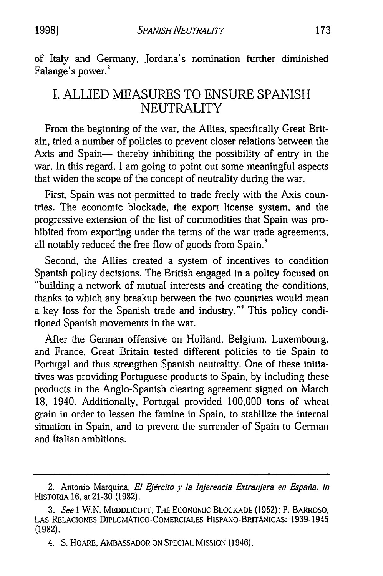of Italy and Germany, Jordana's nomination further diminished Falange's power.<sup>2</sup>

### I. ALLIED MEASURES TO ENSURE SPANISH NEUTRALITY

From the beginning of the war, the Allies, specifically Great Britain, tried a number of policies to prevent closer relations between the Axis and Spain- thereby inhibiting the possibility of entry in the war. In this regard, I am going to point out some meaningful aspects that widen the scope of the concept of neutrality during the war.

First, Spain was not permitted to trade freely with the Axis countries. The economic blockade, the export license system, and the progressive extension of the list of commodities that Spain was prohibited from exporting under the terms of the war trade agreements, all notably reduced the free flow of goods from Spain.<sup>3</sup>

Second, the Allies created a system of incentives to condition Spanish policy decisions. The British engaged in a policy focused on "building a network of mutual interests and creating the conditions, thanks to which any breakup between the two countries would mean a key loss for the Spanish trade and industry."<sup>4</sup> This policy conditioned Spanish movements in the war.

After the German offensive on Holland, Belgium, Luxembourg, and France, Great Britain tested different policies to tie Spain to Portugal and thus strengthen Spanish neutrality. One of these initiatives was providing Portuguese products to Spain, by including these products in the Anglo-Spanish clearing agreement signed on March 18, 1940. Additionally, Portugal provided 100,000 tons of wheat grain in order to lessen the famine in Spain, to stabilize the internal situation in Spain, and to prevent the surrender of Spain to German and Italian ambitions.

<sup>2.</sup> Antonio Marquina, *El Ejdrcito y* la *Injerencia E'tranjera en Espafia. in* HISTORIA 16, at 21-30 (1982).

<sup>3.</sup> *See* 1 W.N. MEDDLICOTr, THE ECONOMIC BLOCKADE (1952): P. BARROSO, LAS RELACIONES DIPLOMATIcO-COMERCIALES HiSPANO-BRrrANICAS: 1939-1945 (1982).

<sup>4.</sup> S. HOARE, AMBASSADOR ON SPECIAL MISSION (1946).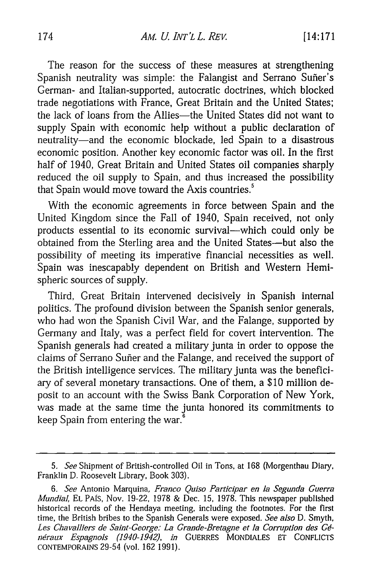The reason for the success of these measures at strengthening Spanish neutrality was simple: the Falangist and Serrano Suñer's German- and Italian-supported, autocratic doctrines, which blocked trade negotiations with France, Great Britain and the United States; the lack of loans from the Allies-the United States did not want to supply Spain with economic help without a public declaration of neutrality-and the economic blockade, led Spain to a disastrous economic position. Another key economic factor was oil. In the first half of 1940, Great Britain and United States oil companies sharply reduced the oil supply to Spain, and thus increased the possibility that Spain would move toward the Axis countries.<sup>5</sup>

With the economic agreements in force between Spain and the United Kingdom since the Fall of 1940, Spain received, not only products essential to its economic survival-which could only be obtained from the Sterling area and the United States-but also the possibility of meeting its imperative financial necessities as well. Spain was inescapably dependent on British and Western Hemispheric sources of supply.

Third, Great Britain intervened decisively in Spanish internal politics. The profound division between the Spanish senior generals, who had won the Spanish Civil War, and the Falange, supported by Germany and Italy, was a perfect field for covert intervention. The Spanish generals had created a military junta in order to oppose the claims of Serrano Suñer and the Falange, and received the support of the British intelligence services. The military junta was the beneficiary of several monetary transactions. One of them, a **\$10** million deposit to an account with the Swiss Bank Corporation of New York, was made at the same time the junta honored its commitments to keep Spain from entering the war.

*<sup>5.</sup> See* Shipment of British-controlled Oil in Tons, at 168 (Morgenthau Diary, Franklin D. Roosevelt Library, Book 303).

<sup>6.</sup> *See* Antonio Marquina, *Franco Quiso Participar en ]a Segunda Guerra Mundial,* EL PAS, Nov. 19-22, 1978 & Dec. 15, 1978. This newspaper published historical records of the Hendaya meeting, including the footnotes. For the first time, the British bribes to the Spanish Generals were exposed. *See also* D. Smyth, Les Chavalliers de Saint-George: La Grande-Bretagne et la Corruption des Gé*ndraux Espagnols (1940-1942), in* GUERRES MONDIALES **ET** CONFLICTS CONTEMPORAINS 29-54 (vol. 162 1991).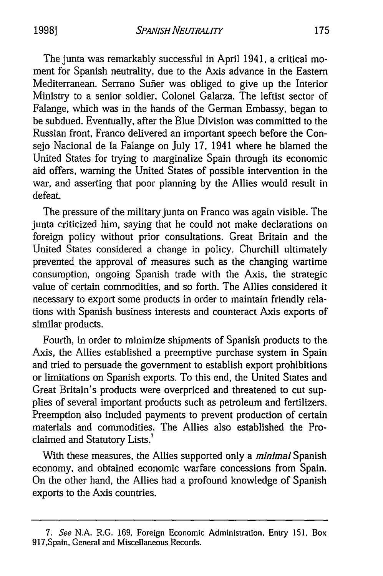The junta was remarkably successful in April **1941,** a critical moment for Spanish neutrality, due to the Axis advance in the Eastern Mediterranean. Serrano Suffer was obliged to give up the Interior Ministry to a senior soldier, Colonel Galarza. The leftist sector of Falange, which was in the hands of the German Embassy, began to be subdued. Eventually, after the Blue Division was committed to the Russian front, Franco delivered an important speech before the Consejo Nacional de la Falange on July 17, 1941 where he blamed the United States for trying to marginalize Spain through its economic aid offers, warning the United States of possible intervention in the war, and asserting that poor planning by the Allies would result in defeat.

The pressure of the military junta on Franco was again visible. The junta criticized him, saying that he could not make declarations on foreign policy without prior consultations. Great Britain and the United States considered a change in policy. Churchill ultimately prevented the approval of measures such as the changing wartime consumption, ongoing Spanish trade with the Axis, the strategic value of certain commodities, and so forth. The Allies considered it necessary to export some products in order to maintain friendly relations with Spanish business interests and counteract Axis exports of similar products.

Fourth, in order to minimize shipments of Spanish products to the Axis, the Allies established a preemptive purchase system in Spain and tried to persuade the government to establish export prohibitions or limitations on Spanish exports. To this end, the United States and Great Britain's products were overpriced and threatened to cut supplies of several important products such as petroleum and fertilizers. Preemption also included payments to prevent production of certain materials and commodities. The Allies also established the Proclaimed and Statutory Lists.<sup>7</sup>

With these measures, the Allies supported only a *minimal* Spanish economy, and obtained economic warfare concessions from Spain. On the other hand, the Allies had a profound knowledge of Spanish exports to the Axis countries.

<sup>7.</sup> See N.A. R.G. 169, Foreign Economic Administration. Entry 151, Box 917,Spain, General and Miscellaneous Records.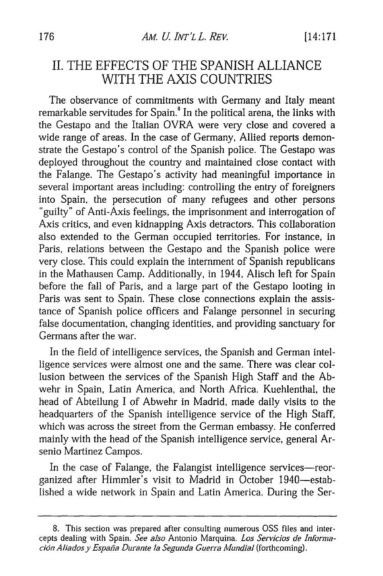#### II. THE EFFECTS OF THE SPANISH ALLIANCE WITH THE AXIS COUNTRIES

The observance of commitments with Germany and Italy meant remarkable servitudes for Spain.<sup>8</sup> In the political arena, the links with the Gestapo and the Italian OVRA were very close and covered a wide range of areas. In the case of Germany, Allied reports demonstrate the Gestapo's control of the Spanish police. The Gestapo was deployed throughout the country and maintained close contact with the Falange. The Gestapo's activity had meaningful importance in several important areas including: controlling the entry of foreigners into Spain, the persecution of many refugees and other persons "guilty" of Anti-Axis feelings, the imprisonment and interrogation of Axis critics, and even kidnapping Axis detractors. This collaboration also extended to the German occupied territories. For instance, in Paris, relations between the Gestapo and the Spanish police were very close. This could explain the internment of Spanish republicans in the Mathausen Camp. Additionally, in 1944, Alisch left for Spain before the fall of Paris, and a large part of the Gestapo looting in Paris was sent to Spain. These close connections explain the assistance of Spanish police officers and Falange personnel in securing false documentation, changing identities, and providing sanctuary for Germans after the war.

In the field of intelligence services, the Spanish and German intelligence services were almost one and the same. There was clear collusion between the services of the Spanish High Staff and the Abwehr in Spain, Latin America, and North Africa. Kuehlenthal, the head of Abteilung I of Abwehr in Madrid, made daily visits to the headquarters of the Spanish intelligence service of the High Staff, which was across the street from the German embassy. He conferred mainly with the head of the Spanish intelligence service, general Arsenio Martinez Campos.

In the case of Falange, the Falangist intelligence services-reorganized after Himmler's visit to Madrid in October 1940-established a wide network in Spain and Latin America. During the Ser-

<sup>8.</sup> This section was prepared after consulting numerous OSS files and intercepts dealing with Spain. *See also* Antonio Marquina. *Los Servicios de Informacion Aliadosy Espafia Durante la Segunda Guerra Mundial* (forthcoming).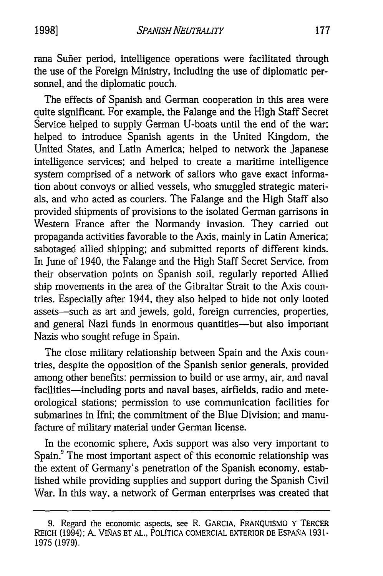rana Suffer period, intelligence operations were facilitated through the use of the Foreign Ministry, including the use of diplomatic personnel, and the diplomatic pouch.

The effects of Spanish and German cooperation in this area were quite significant. For example, the Falange and the High Staff Secret Service helped to supply German U-boats until the end of the war; helped to introduce Spanish agents in the United Kingdom, the United States, and Latin America; helped to network the Japanese intelligence services; and helped to create a maritime intelligence system comprised of a network of sailors who gave exact information about convoys or allied vessels, who smuggled strategic materials, and who acted as couriers. The Falange and the High Staff also provided shipments of provisions to the isolated German garrisons in Western France after the Normandy invasion. They carried out propaganda activities favorable to the Axis, mainly in Latin America; sabotaged allied shipping; and submitted reports of different kinds. In June of 1940, the Falange and the High Staff Secret Service, from their observation points on Spanish soil, regularly reported Allied ship movements in the area of the Gibraltar Strait to the Axis countries. Especially after 1944, they also helped to hide not only looted assets-such as art and jewels, gold, foreign currencies, properties, and general Nazi funds in enormous quantities--but also important Nazis who sought refuge in Spain.

The close military relationship between Spain and the Axis countries, despite the opposition of the Spanish senior generals, provided among other benefits: permission to build or use army, air, and naval facilities-including ports and naval bases, airfields, radio and meteorological stations; permission to use communication facilities for submarines in Ifni; the commitment of the Blue Division; and manufacture of military material under German license.

In the economic sphere, Axis support was also very important to Spain.<sup>9</sup> The most important aspect of this economic relationship was the extent of Germany's penetration of the Spanish economy, established while providing supplies and support during the Spanish Civil War. In this way, a network of German enterprises was created that

<sup>9.</sup> Regard the economic aspects, see R. GARCIA. FRANQUISMO Y TERCER REICH (1994); A. VINAs **ET** AL., POLTICA COMERCIAL EXTERIOR DE ESPA5NA 193 1- 1975 (1979).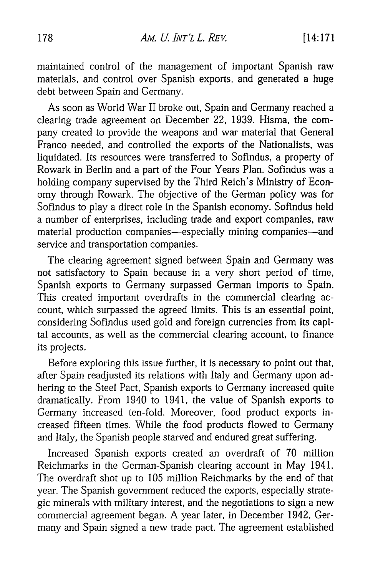maintained control of the management of important Spanish raw materials, and control over Spanish exports, and generated a huge debt between Spain and Germany.

As soon as World War II broke out, Spain and Germany reached a clearing trade agreement on December 22, 1939. Hisma, the company created to provide the weapons and war material that General Franco needed, and controlled the exports of the Nationalists, was liquidated. Its resources were transferred to Sofindus, a property of Rowark in Berlin and a part of the Four Years Plan. Sofindus was a holding company supervised by the Third Reich's Ministry of Economy through Rowark. The objective of the German policy was for Sofindus to play a direct role in the Spanish economy. Sofindus held a number of enterprises, including trade and export companies, raw material production companies-especially mining companies-and service and transportation companies.

The clearing agreement signed between Spain and Germany was not satisfactory to Spain because in a very short period of time, Spanish exports to Germany surpassed German imports to Spain. This created important overdrafts in the commercial clearing account, which surpassed the agreed limits. This is an essential point, considering Sofindus used gold and foreign currencies from its capital accounts, as well as the commercial clearing account, to finance its projects.

Before exploring this issue further, it is necessary to point out that, after Spain readjusted its relations with Italy and Germany upon adhering to the Steel Pact, Spanish exports to Germany increased quite dramatically. From 1940 to 1941, the value of Spanish exports to Germany increased ten-fold. Moreover, food product exports increased fifteen times. While the food products flowed to Germany and Italy, the Spanish people starved and endured great suffering.

Increased Spanish exports created an overdraft of 70 million Reichmarks in the German-Spanish clearing account in May 1941. The overdraft shot up to 105 million Reichmarks by the end of that year. The Spanish government reduced the exports, especially strategic minerals with military interest, and the negotiations to sign a new commercial agreement began. A year later, in December 1942, Germany and Spain signed a new trade pact. The agreement established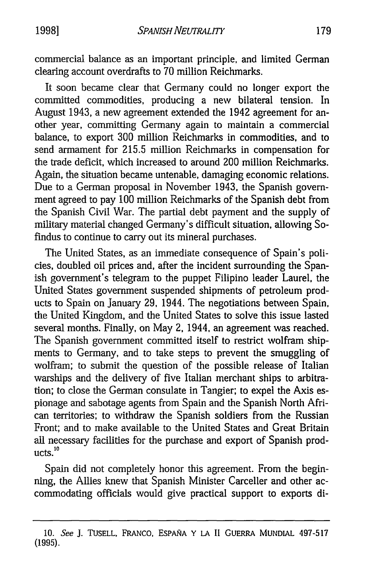commercial balance as an important principle, and limited German clearing account overdrafts to 70 million Reichmarks.

It soon became clear that Germany could no longer export the committed commodities, producing a new bilateral tension. In August 1943, a new agreement extended the 1942 agreement for another year, committing Germany again to maintain a commercial balance, to export 300 million Reichmarks in commodities, and to send armament for 215.5 million Reichmarks in compensation for the trade deficit, which increased to around 200 million Reichmarks. Again, the situation became untenable, damaging economic relations. Due to a German proposal in November 1943, the Spanish government agreed to pay 100 million Reichmarks of the Spanish debt from the Spanish Civil War. The partial debt payment and the supply of military material changed Germany's difficult situation, allowing Sofindus to continue to carry out its mineral purchases.

The United States, as an immediate consequence of Spain's policies, doubled oil prices and, after the incident surrounding the Spanish government's telegram to the puppet Filipino leader Laurel, the United States government suspended shipments of petroleum products to Spain on January 29, 1944. The negotiations between Spain, the United Kingdom, and the United States to solve this issue lasted several months. Finally, on May 2, 1944, an agreement was reached. The Spanish government committed itself to restrict wolfram shipments to Germany, and to take steps to prevent the smuggling of wolfram; to submit the question of the possible release of Italian warships and the delivery of five Italian merchant ships to arbitration; to close the German consulate in Tangier; to expel the Axis espionage and sabotage agents from Spain and the Spanish North African territories; to withdraw the Spanish soldiers from the Russian Front; and to make available to the United States and Great Britain all necessary facilities for the purchase and export of Spanish prod- $\text{ucts.}^{10}$ 

Spain did not completely honor this agreement. From the beginning, the Allies knew that Spanish Minister Carceller and other accommodating officials would give practical support to exports di-

**<sup>10.</sup>** See J. TUSELL, FRANcO, ESPAINA Y **LA** II GuERRA MUNDIAL 497-517 (1995).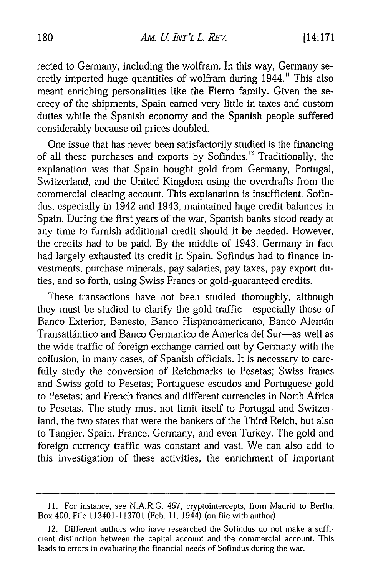rected to Germany, including the wolfram. In this way, Germany secretly imported huge quantities of wolfram during 1944." This also meant enriching personalities like the Fierro family. Given the secrecy of the shipments, Spain earned very little in taxes and custom duties while the Spanish economy and the Spanish people suffered considerably because oil prices doubled.

One issue that has never been satisfactorily studied is the financing of all these purchases and exports by Sofindus.<sup>12</sup> Traditionally, the explanation was that Spain bought gold from Germany, Portugal, Switzerland, and the United Kingdom using the overdrafts from the commercial clearing account. This explanation is insufficient. Sofindus, especially in 1942 and 1943, maintained huge credit balances in Spain. During the first years of the war, Spanish banks stood ready at any time to furnish additional credit should it be needed. However, the credits had to be paid. By the middle of 1943, Germany in fact had largely exhausted its credit in Spain. Sofindus had to finance investments, purchase minerals, pay salaries, pay taxes, pay export duties, and so forth, using Swiss Francs or gold-guaranteed credits.

These transactions have not been studied thoroughly, although they must be studied to clarify the gold traffic-especially those of Banco Exterior, Banesto, Banco Hispanoamericano, Banco Alemán Transatlántico and Banco Germanico de America del Sur-as well as the wide traffic of foreign exchange carried out by Germany with the collusion, in many cases, of Spanish officials. It is necessary to carefully study the conversion of Reichmarks to Pesetas; Swiss francs and Swiss gold to Pesetas; Portuguese escudos and Portuguese gold to Pesetas; and French francs and different currencies in North Africa to Pesetas. The study must not limit itself to Portugal and Switzerland, the two states that were the bankers of the Third Reich, but also to Tangier, Spain, France, Germany, and even Turkey. The gold and foreign currency traffic was constant and vast. We can also add to this investigation of these activities, the enrichment of important

<sup>11.</sup> For instance, see N.A.R.G. 457, cryptointercepts, from Madrid to Berlin, Box 400, File 113401-113701 (Feb. 11, 1944) (on file with author).

<sup>12.</sup> Different authors who have researched the Sofindus do not make a sufficient distinction between the capital account and the commercial account. This leads to errors in evaluating the financial needs of Sofindus during the war.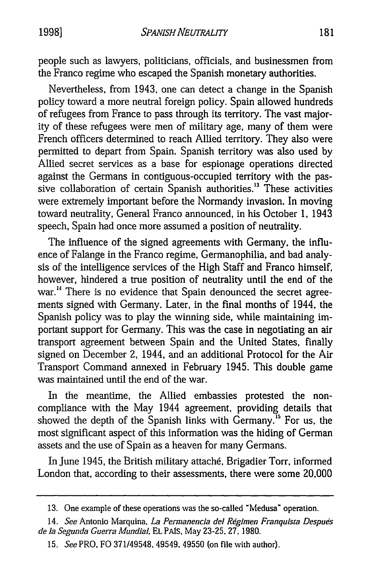people such as lawyers, politicians, officials, and businessmen from the Franco regime who escaped the Spanish monetary authorities.

Nevertheless, from 1943, one can detect a change in the Spanish policy toward a more neutral foreign policy. Spain allowed hundreds of refugees from France to pass through its territory. The vast majority of these refugees were men of military age, many of them were French officers determined to reach Allied territory. They also were permitted to depart from Spain. Spanish territory was also used by Allied secret services as a base for espionage operations directed against the Germans in contiguous-occupied territory with the passive collaboration of certain Spanish authorities.<sup>13</sup> These activities were extremely important before the Normandy invasion. In moving toward neutrality, General Franco announced, in his October **1,** 1943 speech, Spain had once more assumed a position of neutrality.

The influence of the signed agreements with Germany, the influence of Falange in the Franco regime, Germanophilia, and bad analysis of the intelligence services of the High Staff and Franco himself, however, hindered a true position of neutrality until the end of the war.<sup>14</sup> There is no evidence that Spain denounced the secret agreements signed with Germany. Later, in the final months of 1944, the Spanish policy was to play the winning side, while maintaining important support for Germany. This was the case in negotiating an air transport agreement between Spain and the United States, finally signed on December 2, 1944, and an additional Protocol for the Air Transport Command annexed in February 1945. This double game was maintained until the end of the war.

In the meantime, the Allied embassies protested the noncompliance with the May 1944 agreement, providing details that showed the depth of the Spanish links with Germany.<sup>15</sup> For us, the most significant aspect of this information was the hiding of German assets and the use of Spain as a heaven for many Germans.

In June 1945, the British military attaché, Brigadier Torr, informed London that, according to their assessments, there were some 20,000

<sup>13.</sup> One example of these operations was the so-called "Medusa" operation.

*<sup>14.</sup> See* Antonio Marquina, *La Permanencia del Regimen Franquista Despuds de la Segunda Guerra MundiaL* EL PAIS, May 23-25. 27. 1980.

<sup>15.</sup> *See* PRO, FO 371/49548, 49549, 49550 (on file with author).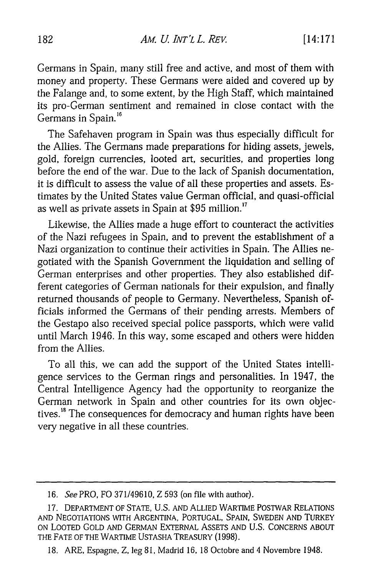Germans in Spain, many still free and active, and most of them with money and property. These Germans were aided and covered up by the Falange and, to some extent, by the High Staff, which maintained its pro-German sentiment and remained in close contact with the Germans in Spain.<sup>16</sup>

The Safehaven program in Spain was thus especially difficult for the Allies. The Germans made preparations for hiding assets, jewels, gold, foreign currencies, looted art, securities, and properties long before the end of the war. Due to the lack of Spanish documentation, it is difficult to assess the value of all these properties and assets. Estimates by the United States value German official, and quasi-official as well as private assets in Spain at \$95 million.<sup>17</sup>

Likewise, the Allies made a huge effort to counteract the activities of the Nazi refugees in Spain, and to prevent the establishment of a Nazi organization to continue their activities in Spain. The Allies negotiated with the Spanish Government the liquidation and selling of German enterprises and other properties. They also established different categories of German nationals for their expulsion, and finally returned thousands of people to Germany. Nevertheless, Spanish officials informed the Germans of their pending arrests. Members of the Gestapo also received special police passports, which were valid until March 1946. In this way, some escaped and others were hidden from the Allies.

To all this, we can add the support of the United States intelligence services to the German rings and personalities. In 1947, the Central Intelligence Agency had the opportunity to reorganize the German network in Spain and other countries for its own objectives.<sup>18</sup> The consequences for democracy and human rights have been very negative in all these countries.

<sup>16.</sup> *SeePRO,* FO 371/49610, Z 593 (on file with author).

<sup>17.</sup> DEPARTMENT OF STATE, U.S. AND ALLIED WARTIME POSTWAR RELATIONS AND NEGOTIATIONS WITH ARGENTINA, PORTUGAL, SPAIN, SWEDEN AND TURKEY ON LOOTED GOLD AND GERMAN EXTERNAL ASSETS AND U.S. CONCERNS ABOUT THE FATE OF THE WARTIME USTASHA TREASURY (1998).

<sup>18.</sup> ARE, Espagne, Z, leg 81, Madrid 16, 18 Octobre and 4 Novembre 1948.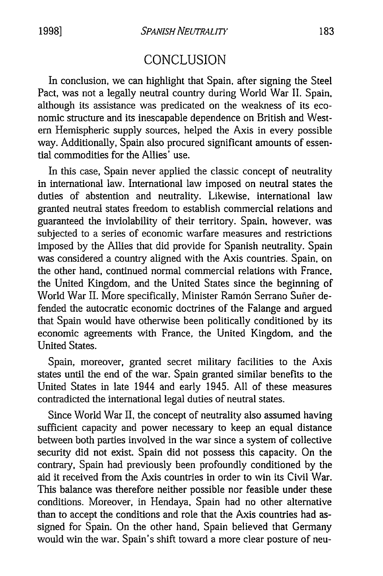#### CONCLUSION

In conclusion, we can highlight that Spain, after signing the Steel Pact, was not a legally neutral country during World War II. Spain. although its assistance was predicated on the weakness of its economic structure and its inescapable dependence on British and Western Hemispheric supply sources, helped the Axis in every possible way. Additionally, Spain also procured significant amounts of essential commodities for the Allies' use.

In this case, Spain never applied the classic concept of neutrality in international law. International law imposed on neutral states the duties of abstention and neutrality. Likewise, international law granted neutral states freedom to establish commercial relations and guaranteed the inviolability of their territory. Spain. however, was subjected to a series of economic warfare measures and restrictions imposed by the Allies that did provide for Spanish neutrality. Spain was considered a country aligned with the Axis countries. Spain, on the other hand, continued normal commercial relations with France, the United Kingdom, and the United States since the beginning of World War II. More specifically, Minister Ramón Serrano Suñer defended the autocratic economic doctrines of the Falange and argued that Spain would have otherwise been politically conditioned by its economic agreements with France, the United Kingdom, and the United States.

Spain, moreover, granted secret military facilities to the Axis states until the end of the war. Spain granted similar benefits to the United States in late 1944 and early 1945. All of these measures contradicted the international legal duties of neutral states.

Since World War II, the concept of neutrality also assumed having sufficient capacity and power necessary to keep an equal distance between both parties involved in the war since a system of collective security did not exist. Spain did not possess this capacity. On the contrary, Spain had previously been profoundly conditioned by the aid it received from the Axis countries in order to win its Civil War. This balance was therefore neither possible nor feasible under these conditions. Moreover, in Hendaya, Spain had no other alternative than to accept the conditions and role that the Axis countries had assigned for Spain. On the other hand, Spain believed that Germany would win the war. Spain's shift toward a more clear posture of neu